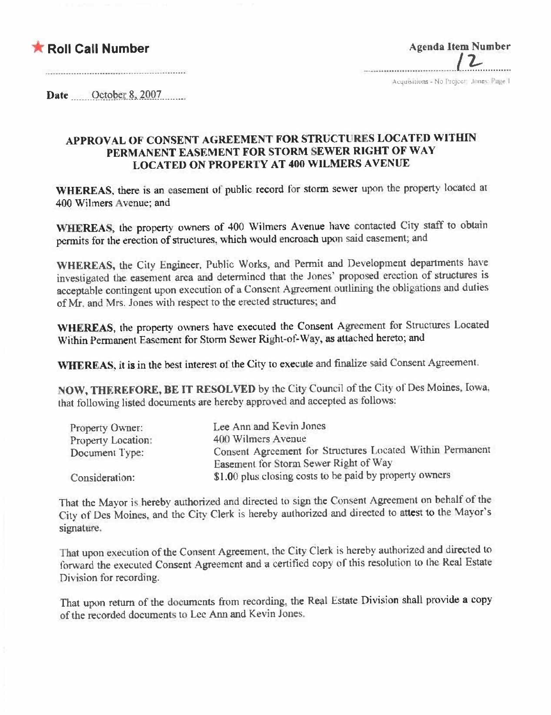## **\* Roll Call Number**

| <b>Agenda Item Number</b> |
|---------------------------|
|                           |
|                           |

Acquisitions - No Project (Jimes: Page 1)

Date October 8, 2007

## APPROVAL OF CONSENT AGREEMENT FOR STRUCTURES LOCATED WITHIN PERMANENT EASEMENT FOR STORM SEWER RIGHT OF WAY **LOCATED ON PROPERTY AT 400 WILMERS AVENUE**

WHEREAS, there is an easement of public record for storm sewer upon the property located at 400 Wilmers Avenue; and

WHEREAS, the property owners of 400 Wilmers Avenue have contacted City staff to obtain permits for the erection of structures, which would encroach upon said easement; and

WHEREAS, the City Engineer, Public Works, and Permit and Development departments have investigated the easement area and determined that the Jones' proposed erection of structures is acceptable contingent upon execution of a Consent Agreement outlining the obligations and duties of Mr. and Mrs. Jones with respect to the erected structures; and

WHEREAS, the property owners have executed the Consent Agreement for Structures Located Within Permanent Easement for Storm Sewer Right-of-Way, as attached hereto; and

WHEREAS, it is in the best interest of the City to execute and finalize said Consent Agreement.

NOW, THEREFORE, BE IT RESOLVED by the City Council of the City of Des Moines, Iowa, that following listed documents are hereby approved and accepted as follows:

| Property Owner:    | Lee Ann and Kevin Jones                                   |  |
|--------------------|-----------------------------------------------------------|--|
| Property Location: | 400 Wilmers Avenue                                        |  |
| Document Type:     | Consent Agreement for Structures Located Within Permanent |  |
|                    | Easement for Storm Sewer Right of Way                     |  |
| Consideration:     | \$1.00 plus closing costs to be paid by property owners   |  |

That the Mayor is hereby authorized and directed to sign the Consent Agreement on behalf of the City of Des Moines, and the City Clerk is hereby authorized and directed to attest to the Mayor's signature.

That upon execution of the Consent Agreement, the City Clerk is hereby authorized and directed to forward the executed Consent Agreement and a certified copy of this resolution to the Real Estate Division for recording.

That upon return of the documents from recording, the Real Estate Division shall provide a copy of the recorded documents to Lee Ann and Kevin Jones.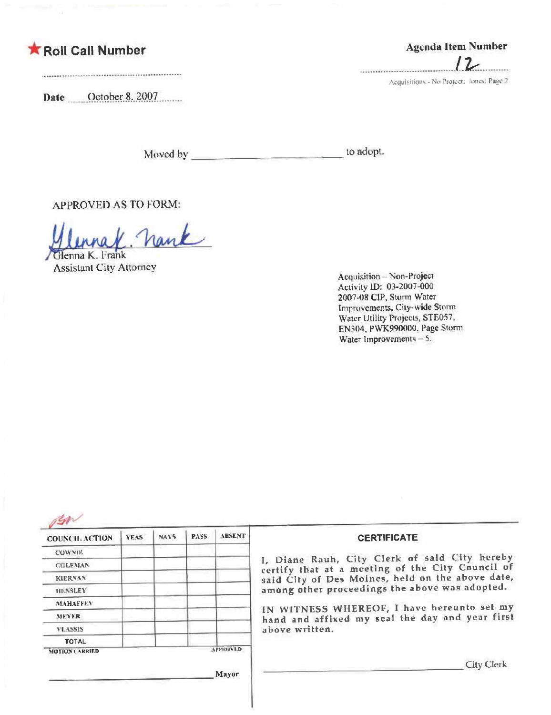## **K** Roll Call Number

Date October 8. 2007

Agenda Item Number .....................

Acquisitions - No Project: Jones: Page 2

to adopt. Moved by

**APPROVED AS TO FORM:** 

. Nank Glenna K. Frank

**Assistant City Attorney** 

Acquisition - Non-Project Activity ID: 03-2007-000 2007-08 CIP, Storm Water Improvements, City-wide Storm Water Utility Projects, STE057. EN304, PWK990000, Page Storm Water Improvements  $-5$ .

| <b>COWNIE</b><br>I, Diane Rauh, City Clerk of said City hereby<br><b>COLEMAN</b><br><b>KIERNAN</b><br>among other proceedings the above was adopted.<br><b>HENSLEY</b><br><b>MAHAFFFY</b><br><b>MEYER</b><br>above written.<br><b>VLASSIS</b><br><b>TOTAL</b><br><b>APPROVED</b><br><b>MOTION CARRIED</b> | COUNCIL ACTION | <b>YEAS</b> | <b>NAYS</b> | PASS <sub></sub> | <b>ABSENT</b> | <b>CERTIFICATE</b> |
|-----------------------------------------------------------------------------------------------------------------------------------------------------------------------------------------------------------------------------------------------------------------------------------------------------------|----------------|-------------|-------------|------------------|---------------|--------------------|
| certify that at a meeting of the City Council of<br>said City of Des Moines, held on the above date,<br>IN WITNESS WHEREOF, I have hereunto set my<br>hand and affixed my seal the day and year first                                                                                                     |                |             |             |                  |               |                    |
|                                                                                                                                                                                                                                                                                                           |                |             |             |                  |               |                    |
|                                                                                                                                                                                                                                                                                                           |                |             |             |                  |               |                    |
|                                                                                                                                                                                                                                                                                                           |                |             |             |                  |               |                    |
|                                                                                                                                                                                                                                                                                                           |                |             |             |                  |               |                    |
|                                                                                                                                                                                                                                                                                                           |                |             |             |                  |               |                    |
|                                                                                                                                                                                                                                                                                                           |                |             |             |                  |               |                    |
|                                                                                                                                                                                                                                                                                                           |                |             |             |                  |               |                    |
|                                                                                                                                                                                                                                                                                                           |                |             |             |                  |               |                    |
|                                                                                                                                                                                                                                                                                                           |                |             |             |                  |               | <b>City Clerk</b>  |